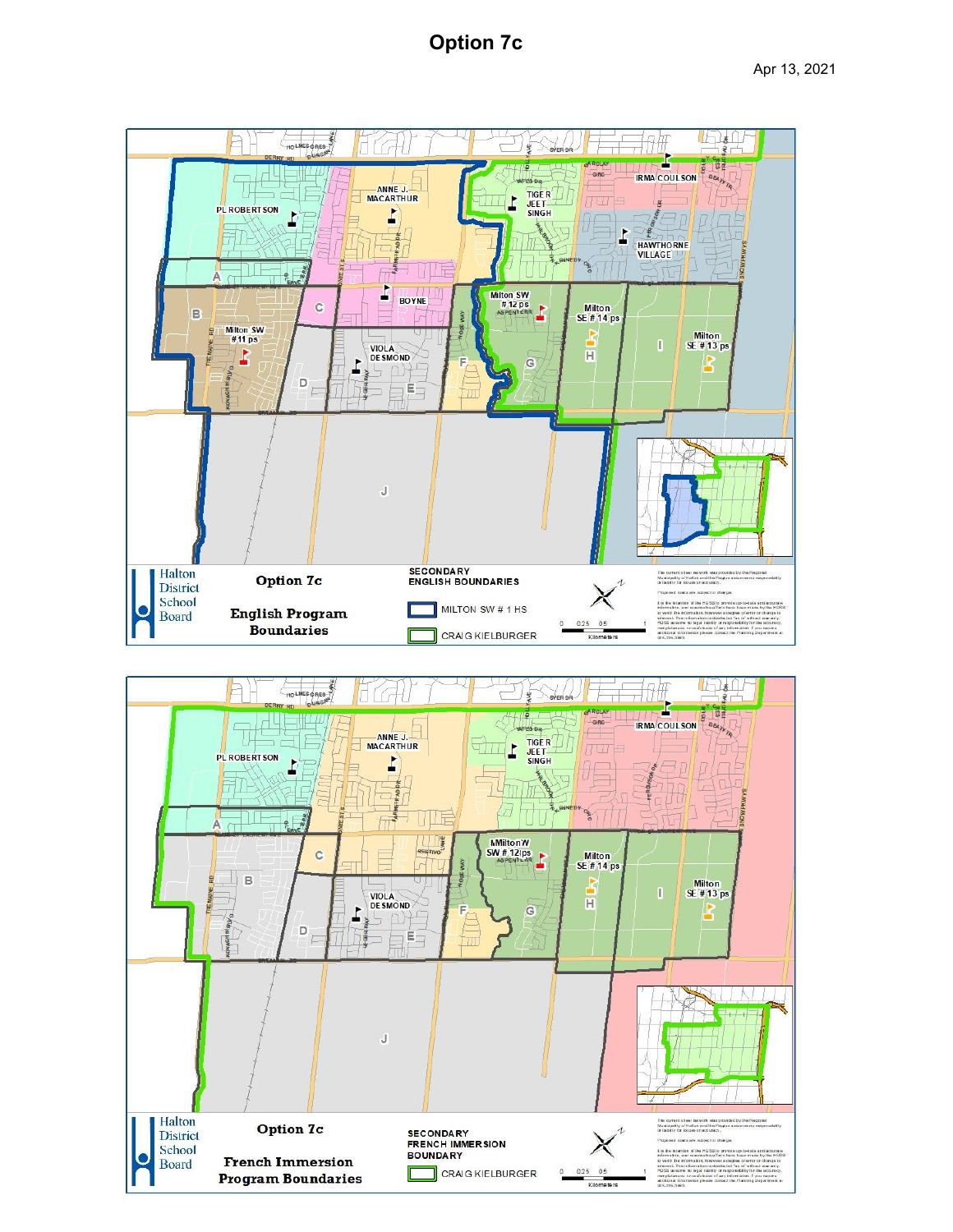# **Option 7c**



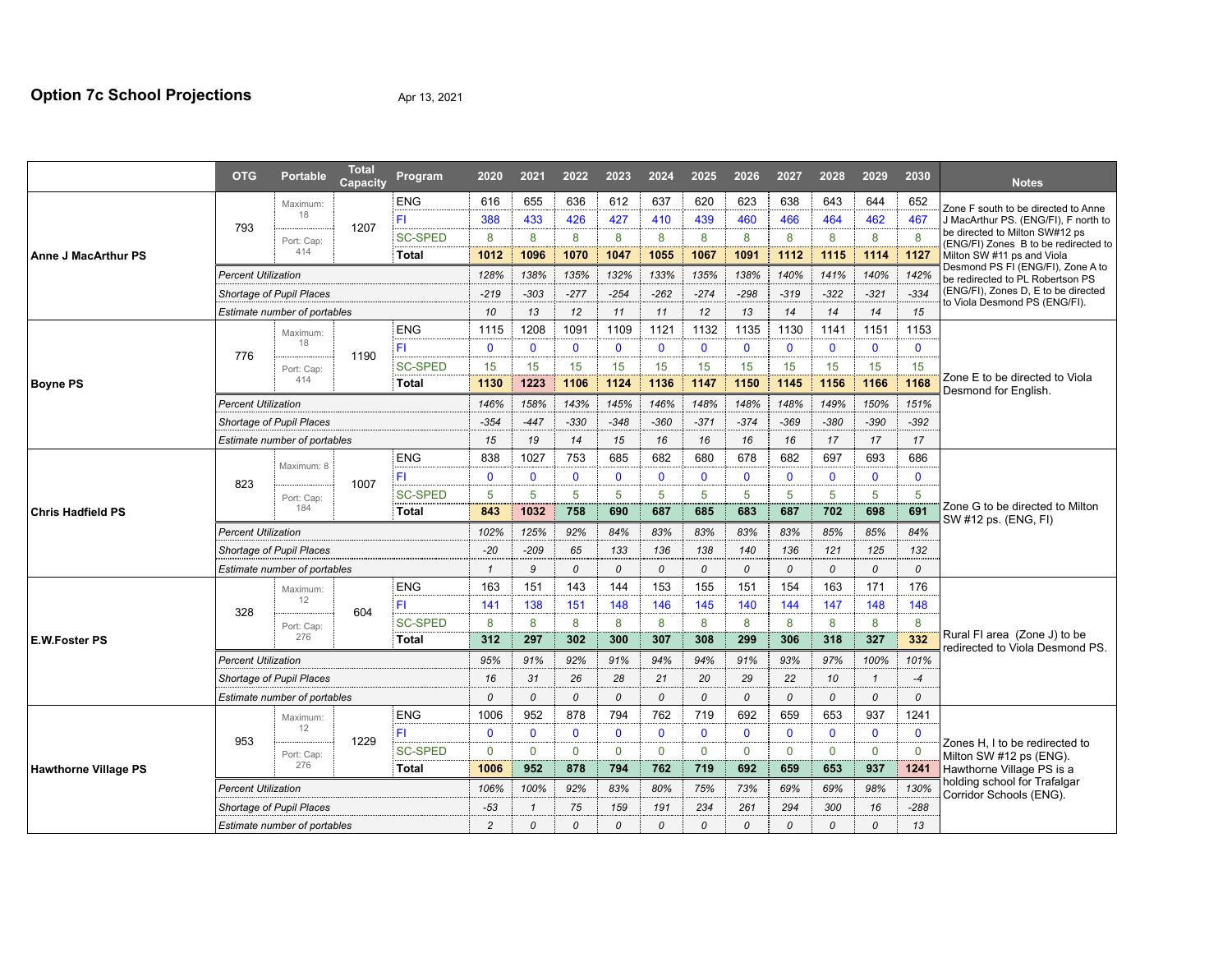|                                                                           | <b>OTG</b>                      | <b>Portable</b>                                                                                                                                                                                                                                                                                                                                                                                                                                                                                                                                                                                                                                                                                                                                                                                                                                                                                                                                                                                                              | <b>Total</b><br>Capacity     | Program        | 2020         | 2021         | 2022         | 2023          | 2024         | 2025         | 2026          | 2027         | 2028         | 2029          | 2030         | <b>Notes</b>                                                           |  |
|---------------------------------------------------------------------------|---------------------------------|------------------------------------------------------------------------------------------------------------------------------------------------------------------------------------------------------------------------------------------------------------------------------------------------------------------------------------------------------------------------------------------------------------------------------------------------------------------------------------------------------------------------------------------------------------------------------------------------------------------------------------------------------------------------------------------------------------------------------------------------------------------------------------------------------------------------------------------------------------------------------------------------------------------------------------------------------------------------------------------------------------------------------|------------------------------|----------------|--------------|--------------|--------------|---------------|--------------|--------------|---------------|--------------|--------------|---------------|--------------|------------------------------------------------------------------------|--|
|                                                                           |                                 | Maximum:                                                                                                                                                                                                                                                                                                                                                                                                                                                                                                                                                                                                                                                                                                                                                                                                                                                                                                                                                                                                                     |                              | <b>ENG</b>     | 616          | 655          | 636          | 612           | 637          | 620          | 623           | 638          | 643          | 644           | 652          | Zone F south to be directed to Anne                                    |  |
| <b>Anne J MacArthur PS</b><br><b>Boyne PS</b><br><b>Chris Hadfield PS</b> |                                 |                                                                                                                                                                                                                                                                                                                                                                                                                                                                                                                                                                                                                                                                                                                                                                                                                                                                                                                                                                                                                              |                              | FI.            | 388          | 433          | 426          | 427           | 410          | 439          | 460           | 466          | 464          | 462           | 467          | J MacArthur PS. (ENG/FI), F north to                                   |  |
|                                                                           |                                 | Port: Cap:                                                                                                                                                                                                                                                                                                                                                                                                                                                                                                                                                                                                                                                                                                                                                                                                                                                                                                                                                                                                                   |                              | <b>SC-SPED</b> | 8            | 8            | 8            | 8             | 8            | 8            | 8             | 8            | 8            | 8             | 8            | be directed to Milton SW#12 ps<br>(ENG/FI) Zones B to be redirected to |  |
|                                                                           |                                 | 414                                                                                                                                                                                                                                                                                                                                                                                                                                                                                                                                                                                                                                                                                                                                                                                                                                                                                                                                                                                                                          |                              | Total          | 1012         | 1096         | 1070         | 1047          | 1055         | 1067         | 1091          | 1112         | 1115         | 1114          | 1127         | Milton SW #11 ps and Viola                                             |  |
|                                                                           |                                 |                                                                                                                                                                                                                                                                                                                                                                                                                                                                                                                                                                                                                                                                                                                                                                                                                                                                                                                                                                                                                              |                              |                | 128%         | 138%         | 135%         | 132%          | 133%         | 135%         | 138%          | 140%         | 141%         | 140%          | 142%         | Desmond PS FI (ENG/FI), Zone A to<br>be redirected to PL Robertson PS  |  |
|                                                                           | Shortage of Pupil Places        |                                                                                                                                                                                                                                                                                                                                                                                                                                                                                                                                                                                                                                                                                                                                                                                                                                                                                                                                                                                                                              |                              |                | $-219$       | $-303$       | $-277$       | $-254$        | $-262$       | $-274$       | $-298$        | $-319$       | $-322$       | $-321$        | $-334$       | (ENG/FI), Zones D, E to be directed                                    |  |
|                                                                           |                                 | Estimate number of portables                                                                                                                                                                                                                                                                                                                                                                                                                                                                                                                                                                                                                                                                                                                                                                                                                                                                                                                                                                                                 |                              |                |              |              | 12           | 11            | 11           | 12           | 13            | 14           | 14           | 14            | 15           | to Viola Desmond PS (ENG/FI).                                          |  |
|                                                                           |                                 | Maximum:                                                                                                                                                                                                                                                                                                                                                                                                                                                                                                                                                                                                                                                                                                                                                                                                                                                                                                                                                                                                                     |                              | <b>ENG</b>     | 1115         | 1208         | 1091         | 1109          | 1121         | 1132         | 1135          | 1130         | 1141         | 1151          | 1153         |                                                                        |  |
|                                                                           |                                 | 18                                                                                                                                                                                                                                                                                                                                                                                                                                                                                                                                                                                                                                                                                                                                                                                                                                                                                                                                                                                                                           |                              | FI             | $\mathbf 0$  | $\mathbf 0$  | $\mathbf 0$  | $\mathbf 0$   | $\mathbf 0$  | $\mathbf{0}$ | $\mathbf{0}$  | $\mathbf{0}$ | $\mathbf 0$  | $\mathbf 0$   | $\mathbf{0}$ |                                                                        |  |
|                                                                           |                                 | Port: Cap:                                                                                                                                                                                                                                                                                                                                                                                                                                                                                                                                                                                                                                                                                                                                                                                                                                                                                                                                                                                                                   |                              | <b>SC-SPED</b> | 15           | 15           | 15           | 15            | 15           | 15           | 15            | 15           | 15           | 15            | 15           |                                                                        |  |
|                                                                           |                                 | 414                                                                                                                                                                                                                                                                                                                                                                                                                                                                                                                                                                                                                                                                                                                                                                                                                                                                                                                                                                                                                          |                              | Total          | 1130         | 1223         | 1106         | 1124          | 1136         | 1147         | 1150          | 1145         | 1156         | 1166          | 1168         | Zone E to be directed to Viola<br>Desmond for English.                 |  |
|                                                                           |                                 |                                                                                                                                                                                                                                                                                                                                                                                                                                                                                                                                                                                                                                                                                                                                                                                                                                                                                                                                                                                                                              |                              |                | 146%         | 158%         | 143%         | 145%          | 146%         | 148%         | 148%          | 148%         | 149%         | 150%          | 151%         |                                                                        |  |
|                                                                           | Shortage of Pupil Places        |                                                                                                                                                                                                                                                                                                                                                                                                                                                                                                                                                                                                                                                                                                                                                                                                                                                                                                                                                                                                                              |                              |                |              | $-447$       | $-330$       | $-348$        | $-360$       | $-371$       | $-374$        | $-369$       | $-380$       | $-390$        | $-392$       |                                                                        |  |
|                                                                           |                                 |                                                                                                                                                                                                                                                                                                                                                                                                                                                                                                                                                                                                                                                                                                                                                                                                                                                                                                                                                                                                                              |                              |                | 15           | 19           | 14           | 15            | 16           | 16           | 16            | 16           | 17           | 17            | 17           |                                                                        |  |
|                                                                           |                                 | Maximum: 8                                                                                                                                                                                                                                                                                                                                                                                                                                                                                                                                                                                                                                                                                                                                                                                                                                                                                                                                                                                                                   |                              | <b>ENG</b>     | 838          | 1027         | 753          | 685           | 682          | 680          | 678           | 682          | 697          | 693           | 686          |                                                                        |  |
|                                                                           |                                 |                                                                                                                                                                                                                                                                                                                                                                                                                                                                                                                                                                                                                                                                                                                                                                                                                                                                                                                                                                                                                              |                              | FI.            | $\mathbf{0}$ | $\mathbf{0}$ | $\mathbf{0}$ | $\mathbf{0}$  | $\mathbf{0}$ | $\mathbf{0}$ | $\mathbf{0}$  | $\mathbf{0}$ | $\mathbf{0}$ | $\mathbf 0$   | $\mathbf{0}$ |                                                                        |  |
|                                                                           |                                 |                                                                                                                                                                                                                                                                                                                                                                                                                                                                                                                                                                                                                                                                                                                                                                                                                                                                                                                                                                                                                              |                              | <b>SC-SPED</b> | 5            | 5            | 5            | 5             | 5            | 5            | 5             | 5            | 5            | 5             | 5            |                                                                        |  |
|                                                                           |                                 | 184                                                                                                                                                                                                                                                                                                                                                                                                                                                                                                                                                                                                                                                                                                                                                                                                                                                                                                                                                                                                                          |                              | Total          | 843          | 1032         | 758          | 690           | 687          | 685          | 683           | 687          | 702          | 698           | 691          | Zone G to be directed to Milton<br>SW #12 ps. (ENG, FI)                |  |
|                                                                           | <b>Percent Utilization</b>      |                                                                                                                                                                                                                                                                                                                                                                                                                                                                                                                                                                                                                                                                                                                                                                                                                                                                                                                                                                                                                              |                              |                |              | 125%         | 92%          | 84%           | 83%          | 83%          | 83%           | 83%          | 85%          | 85%           | 84%          |                                                                        |  |
|                                                                           | <b>Shortage of Pupil Places</b> |                                                                                                                                                                                                                                                                                                                                                                                                                                                                                                                                                                                                                                                                                                                                                                                                                                                                                                                                                                                                                              |                              |                |              | $-209$       | 65           | 133           | 136          | 138          | 140           | 136          | 121          | 125           | 132          |                                                                        |  |
|                                                                           |                                 | Estimate number of portables                                                                                                                                                                                                                                                                                                                                                                                                                                                                                                                                                                                                                                                                                                                                                                                                                                                                                                                                                                                                 |                              |                | 1            | 9            | 0            | $\mathcal{O}$ | 0            | 0            | 0             | 0            | 0            | 0             | 0            |                                                                        |  |
|                                                                           |                                 | 18<br>1207<br>793<br><b>Percent Utilization</b><br>13<br>10<br>1190<br>776<br><b>Percent Utilization</b><br>$-354$<br>Estimate number of portables<br>1007<br>823<br>Port: Cap:<br>102%<br>$-20$<br><b>ENG</b><br>151<br>144<br>163<br>143<br>Maximum:<br>12<br>FI.<br>138<br>151<br>148<br>141<br>328<br>604<br><b>SC-SPED</b><br>8<br>8<br>8<br>8<br>Port: Cap:<br>276<br>312<br>297<br>302<br>300<br>Total<br>91%<br>95%<br>92%<br>91%<br>26<br>28<br>Shortage of Pupil Places<br>16<br>31<br>$\mathcal{O}$<br>0<br>$\mathcal{O}$<br>0<br><b>ENG</b><br>952<br>1006<br>878<br>794<br>Maximum:<br>12<br>FI.<br>$\mathbf{0}$<br>$\mathbf{0}$<br>$\mathbf{0}$<br>$\mathbf{0}$<br>953<br>1229<br><b>SC-SPED</b><br>$\Omega$<br>$\mathbf{0}$<br>$\Omega$<br>$\mathbf{0}$<br>Port: Cap:<br>276<br>952<br>878<br>794<br>1006<br>Total<br><b>Percent Utilization</b><br>106%<br>100%<br>92%<br>83%<br>$-53$<br>75<br>159<br><b>Shortage of Pupil Places</b><br>$\mathbf{1}$<br>$\Omega$<br>$\mathfrak{p}$<br>$\Omega$<br>$\Omega$ |                              |                |              |              |              |               | 153          | 155          | 151           | 154          | 163          | 171           | 176          |                                                                        |  |
|                                                                           |                                 |                                                                                                                                                                                                                                                                                                                                                                                                                                                                                                                                                                                                                                                                                                                                                                                                                                                                                                                                                                                                                              |                              |                |              |              |              |               | 146          | 145          | 140           | 144          | 147          | 148           | 148          |                                                                        |  |
|                                                                           |                                 |                                                                                                                                                                                                                                                                                                                                                                                                                                                                                                                                                                                                                                                                                                                                                                                                                                                                                                                                                                                                                              | 8                            | 8              | 8            | 8            | 8            | 8             | 8            |              |               |              |              |               |              |                                                                        |  |
| <b>E.W.Foster PS</b>                                                      |                                 |                                                                                                                                                                                                                                                                                                                                                                                                                                                                                                                                                                                                                                                                                                                                                                                                                                                                                                                                                                                                                              |                              |                |              |              |              |               | 307          | 308          | 299           | 306          | 318          | 327           | 332          | Rural FI area (Zone J) to be<br>redirected to Viola Desmond PS.        |  |
|                                                                           |                                 | <b>Percent Utilization</b>                                                                                                                                                                                                                                                                                                                                                                                                                                                                                                                                                                                                                                                                                                                                                                                                                                                                                                                                                                                                   |                              |                |              |              |              |               | 94%          | 94%          | 91%           | 93%          | 97%          | 100%          | 101%         |                                                                        |  |
|                                                                           |                                 |                                                                                                                                                                                                                                                                                                                                                                                                                                                                                                                                                                                                                                                                                                                                                                                                                                                                                                                                                                                                                              |                              |                |              |              |              |               | 21           | 20           | 29            | 22           | 10           | $\mathcal{I}$ | $-4$         |                                                                        |  |
|                                                                           | Estimate number of portables    |                                                                                                                                                                                                                                                                                                                                                                                                                                                                                                                                                                                                                                                                                                                                                                                                                                                                                                                                                                                                                              |                              |                |              |              |              |               | 0            | 0            | 0             | 0            | 0            | 0             | 0            |                                                                        |  |
|                                                                           |                                 |                                                                                                                                                                                                                                                                                                                                                                                                                                                                                                                                                                                                                                                                                                                                                                                                                                                                                                                                                                                                                              |                              |                |              |              |              |               | 762          | 719          | 692           | 659          | 653          | 937           | 1241         |                                                                        |  |
|                                                                           |                                 |                                                                                                                                                                                                                                                                                                                                                                                                                                                                                                                                                                                                                                                                                                                                                                                                                                                                                                                                                                                                                              |                              |                |              |              |              |               | $\mathbf{0}$ | $\mathbf{0}$ | $\mathbf{0}$  | $\mathbf{0}$ | $\mathbf{0}$ | $\mathbf{0}$  | $\mathbf{0}$ |                                                                        |  |
|                                                                           |                                 |                                                                                                                                                                                                                                                                                                                                                                                                                                                                                                                                                                                                                                                                                                                                                                                                                                                                                                                                                                                                                              |                              |                |              |              |              |               | $\Omega$     | $\mathbf{0}$ | $\mathbf{0}$  | $\mathbf{0}$ | $\mathbf{0}$ | $\mathbf 0$   | $\mathbf 0$  | Zones H, I to be redirected to<br>Milton SW #12 ps (ENG).              |  |
| <b>Hawthorne Village PS</b>                                               |                                 |                                                                                                                                                                                                                                                                                                                                                                                                                                                                                                                                                                                                                                                                                                                                                                                                                                                                                                                                                                                                                              |                              |                |              |              |              |               | 762          | 719          | 692           | 659          | 653          | 937           | 1241         | Hawthorne Village PS is a                                              |  |
|                                                                           |                                 |                                                                                                                                                                                                                                                                                                                                                                                                                                                                                                                                                                                                                                                                                                                                                                                                                                                                                                                                                                                                                              |                              |                |              |              |              |               | 80%          | 75%          | 73%           | 69%          | 69%          | 98%           | 130%         | holding school for Trafalgar<br>Corridor Schools (ENG).                |  |
|                                                                           |                                 |                                                                                                                                                                                                                                                                                                                                                                                                                                                                                                                                                                                                                                                                                                                                                                                                                                                                                                                                                                                                                              |                              |                |              |              |              |               | 191          | 234          | 261           | 294          | 300          | 16            | $-288$       |                                                                        |  |
|                                                                           |                                 |                                                                                                                                                                                                                                                                                                                                                                                                                                                                                                                                                                                                                                                                                                                                                                                                                                                                                                                                                                                                                              | Estimate number of portables |                |              |              |              |               | 0            | 0            | $\mathcal{O}$ | $\Omega$     | 0            | $\mathcal{O}$ | 13           |                                                                        |  |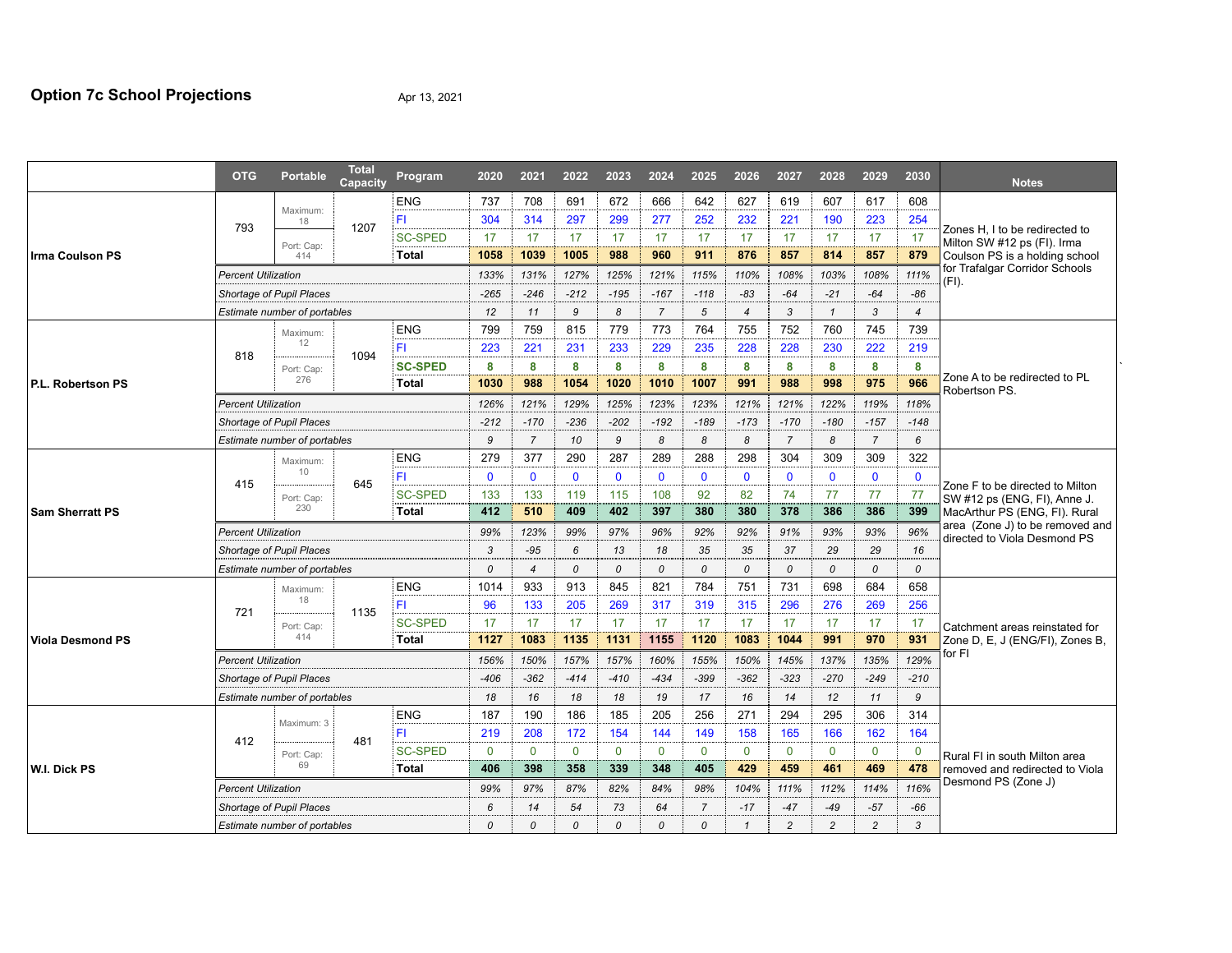|                                                                | <b>OTG</b>                   | <b>Portable</b>                 | <b>Total</b><br>Capacity | Program        | 2020         | 2021           | 2022          | 2023           | 2024         | 2025           | 2026         | 2027           | 2028          | 2029           | 2030         | <b>Notes</b>                                                    |  |  |  |  |
|----------------------------------------------------------------|------------------------------|---------------------------------|--------------------------|----------------|--------------|----------------|---------------|----------------|--------------|----------------|--------------|----------------|---------------|----------------|--------------|-----------------------------------------------------------------|--|--|--|--|
| Irma Coulson PS<br>P.L. Robertson PS<br><b>Sam Sherratt PS</b> |                              | Maximum:                        |                          | <b>ENG</b>     | 737          | 708            | 691           | 672            | 666          | 642            | 627          | 619            | 607           | 617            | 608          |                                                                 |  |  |  |  |
|                                                                | 793                          | 18                              | 1207                     | ΈI             | 304          | 314            | 297           | 299            | 277          | 252            | 232          | 221            | 190           | 223            | 254          | Zones H, I to be redirected to<br>Milton SW #12 ps (FI). Irma   |  |  |  |  |
|                                                                |                              | Port: Cap:                      |                          | <b>SC-SPED</b> | 17           | 17             | 17            | 17             | 17           | 17             | 17           | 17             | 17            | 17             | 17           |                                                                 |  |  |  |  |
|                                                                |                              | 414                             |                          | <b>Total</b>   | 1058         | 1039           | 1005          | 988            | 960          | 911            | 876          | 857            | 814           | 857            | 879          | Coulson PS is a holding school                                  |  |  |  |  |
|                                                                | <b>Percent Utilization</b>   |                                 |                          |                | 133%         | 131%           | 127%          | 125%           | 121%         | 115%           | 110%         | 108%           | 103%          | 108%           | 111%         | for Trafalgar Corridor Schools<br>(FI).                         |  |  |  |  |
|                                                                | Shortage of Pupil Places     |                                 |                          |                |              | $-246$         | $-212$        | $-195$         | $-167$       | $-118$         | -83          | $-64$          | $-21$         | $-64$          | $-86$        |                                                                 |  |  |  |  |
|                                                                | Estimate number of portables |                                 |                          | 12             | 11           | 9              | 8             | $\overline{7}$ | 5            | $\overline{4}$ | 3            | $\mathbf{1}$   | 3             | $\overline{4}$ |              |                                                                 |  |  |  |  |
|                                                                |                              | Maximum:                        |                          | <b>ENG</b>     | 799          | 759            | 815           | 779            | 773          | 764            | 755          | 752            | 760           | 745            | 739          |                                                                 |  |  |  |  |
|                                                                | 818                          | 12                              | 1094                     | FI             | 223          | 221            | 231           | 233            | 229          | 235            | 228          | 228            | 230           | 222            | 219          |                                                                 |  |  |  |  |
|                                                                |                              | Port: Cap:                      |                          | <b>SC-SPED</b> | 8            | 8              | 8             | 8              | 8            | 8              | 8            | 8              | 8             | 8              | 8            |                                                                 |  |  |  |  |
|                                                                |                              | 276                             |                          | <b>Total</b>   | 1030         | 988            | 1054          | 1020           | 1010         | 1007           | 991          | 988            | 998           | 975            | 966          | Zone A to be redirected to PL<br>Robertson PS.                  |  |  |  |  |
|                                                                | <b>Percent Utilization</b>   |                                 |                          |                | 126%         | 121%           | 129%          | 125%           | 123%         | 123%           | 121%         | 121%           | 122%          | 119%           | 118%         |                                                                 |  |  |  |  |
|                                                                | Shortage of Pupil Places     |                                 |                          |                |              | $-170$         | $-236$        | $-202$         | $-192$       | $-189$         | $-173$       | $-170$         | $-180$        | $-157$         | $-148$       |                                                                 |  |  |  |  |
|                                                                | Estimate number of portables |                                 |                          |                |              | $\overline{7}$ | 10            | 9              | 8            | 8              | 8            | $\overline{7}$ | 8             | $\overline{7}$ | 6            |                                                                 |  |  |  |  |
|                                                                |                              | Maximum:                        |                          | <b>ENG</b>     | 279          | 377            | 290           | 287            | 289          | 288            | 298          | 304            | 309           | 309            | 322          |                                                                 |  |  |  |  |
|                                                                | 415                          | 10                              | 645                      | FI             | $\mathbf{0}$ | $\mathbf{0}$   | $\mathbf{0}$  | $\mathbf{0}$   | $\mathbf{0}$ | $\mathbf{0}$   | $\mathbf{0}$ | $\mathbf 0$    | $\mathbf{0}$  | $\mathbf 0$    | $\mathbf{0}$ | Zone F to be directed to Milton                                 |  |  |  |  |
|                                                                |                              | Port: Cap:                      |                          | <b>SC-SPED</b> | 133          | 133            | 119           | 115            | 108          | 92             | 82           | 74             | 77            | 77             | 77           | SW #12 ps (ENG, FI), Anne J.                                    |  |  |  |  |
|                                                                |                              | 230                             |                          | <b>Total</b>   | 412          | 510            | 409           | 402            | 397          | 380            | 380          | 378            | 386           | 386            | 399          | MacArthur PS (ENG, FI). Rural                                   |  |  |  |  |
|                                                                | <b>Percent Utilization</b>   |                                 |                          |                |              | 123%           | 99%           | 97%            | 96%          | 92%            | 92%          | 91%            | 93%           | 93%            | 96%          | area (Zone J) to be removed and<br>directed to Viola Desmond PS |  |  |  |  |
|                                                                | Shortage of Pupil Places     |                                 |                          |                |              | $-95$          | 6             | 13             | 18           | 35             | 35           | 37             | 29            | 29             | 16           |                                                                 |  |  |  |  |
|                                                                | Estimate number of portables |                                 |                          |                |              | $\overline{4}$ | $\mathcal{O}$ | 0              | 0            | 0              | 0            | 0              | $\mathcal{O}$ | 0              | 0            |                                                                 |  |  |  |  |
|                                                                |                              | Maximum:<br>18<br>1135          |                          | <b>ENG</b>     | 1014         | 933            | 913           | 845            | 821          | 784            | 751          | 731            | 698           | 684            | 658          |                                                                 |  |  |  |  |
|                                                                | 721                          |                                 |                          | ΈI             | 96           | 133            | 205           | 269            | 317          | 319            | 315          | 296            | 276           | 269            | 256          |                                                                 |  |  |  |  |
|                                                                |                              | Port: Cap:                      |                          | <b>SC-SPED</b> | 17           | 17             | 17            | 17             | 17           | 17             | 17           | 17             | 17            | 17             | 17           | Catchment areas reinstated for                                  |  |  |  |  |
| <b>Viola Desmond PS</b>                                        | 414                          |                                 |                          | <b>Total</b>   | 1127         | 1083           | 1135          | 1131           | 1155         | 1120           | 1083         | 1044           | 991           | 970            | 931          | Zone D, E, J (ENG/FI), Zones B,                                 |  |  |  |  |
|                                                                | <b>Percent Utilization</b>   |                                 |                          |                |              | 150%           | 157%          | 157%           | 160%         | 155%           | 150%         | 145%           | 137%          | 135%           | 129%         | for FI                                                          |  |  |  |  |
|                                                                | Shortage of Pupil Places     |                                 |                          |                |              |                |               |                |              | -399           | $-362$       | $-323$         | $-270$        | $-249$         | $-210$       |                                                                 |  |  |  |  |
|                                                                |                              |                                 |                          |                | $-406$       | $-362$         | $-414$        | $-410$         | $-434$       |                |              |                |               |                |              |                                                                 |  |  |  |  |
|                                                                |                              | Estimate number of portables    |                          |                | 18           | 16             | 18            | 18             | 19           | 17             | 16           | 14             | 12            | 11             | 9            |                                                                 |  |  |  |  |
|                                                                |                              |                                 |                          | <b>ENG</b>     | 187          | 190            | 186           | 185            | 205          | 256            | 271          | 294            | 295           | 306            | 314          |                                                                 |  |  |  |  |
|                                                                |                              | Maximum: 3                      |                          | F1             | 219          | 208            | 172           | 154            | 144          | 149            | 158          | 165            | 166           | 162            | 164          |                                                                 |  |  |  |  |
|                                                                | 412                          | Port: Cap:                      | 481                      | <b>SC-SPED</b> | $\mathbf{0}$ | $\mathbf{0}$   | $\mathbf{0}$  | $\mathbf{0}$   | $\mathbf{0}$ | $\mathbf{0}$   | $\mathbf{0}$ | $\Omega$       | $\mathbf{0}$  | $\mathbf 0$    | $\mathbf 0$  | Rural FI in south Milton area                                   |  |  |  |  |
| W.I. Dick PS                                                   |                              | 69                              |                          | Total          | 406          | 398            | 358           | 339            | 348          | 405            | 429          | 459            | 461           | 469            | 478          | removed and redirected to Viola                                 |  |  |  |  |
|                                                                | <b>Percent Utilization</b>   |                                 |                          |                | 99%          | 97%            | 87%           | 82%            | 84%          | 98%            | 104%         | 111%           | 112%          | 114%           | 116%         | Desmond PS (Zone J)                                             |  |  |  |  |
|                                                                |                              | <b>Shortage of Pupil Places</b> |                          |                | 6            | 14             | 54            | 73             | 64           | $\overline{7}$ | $-17$        | $-47$          | $-49$         | $-57$          | $-66$        |                                                                 |  |  |  |  |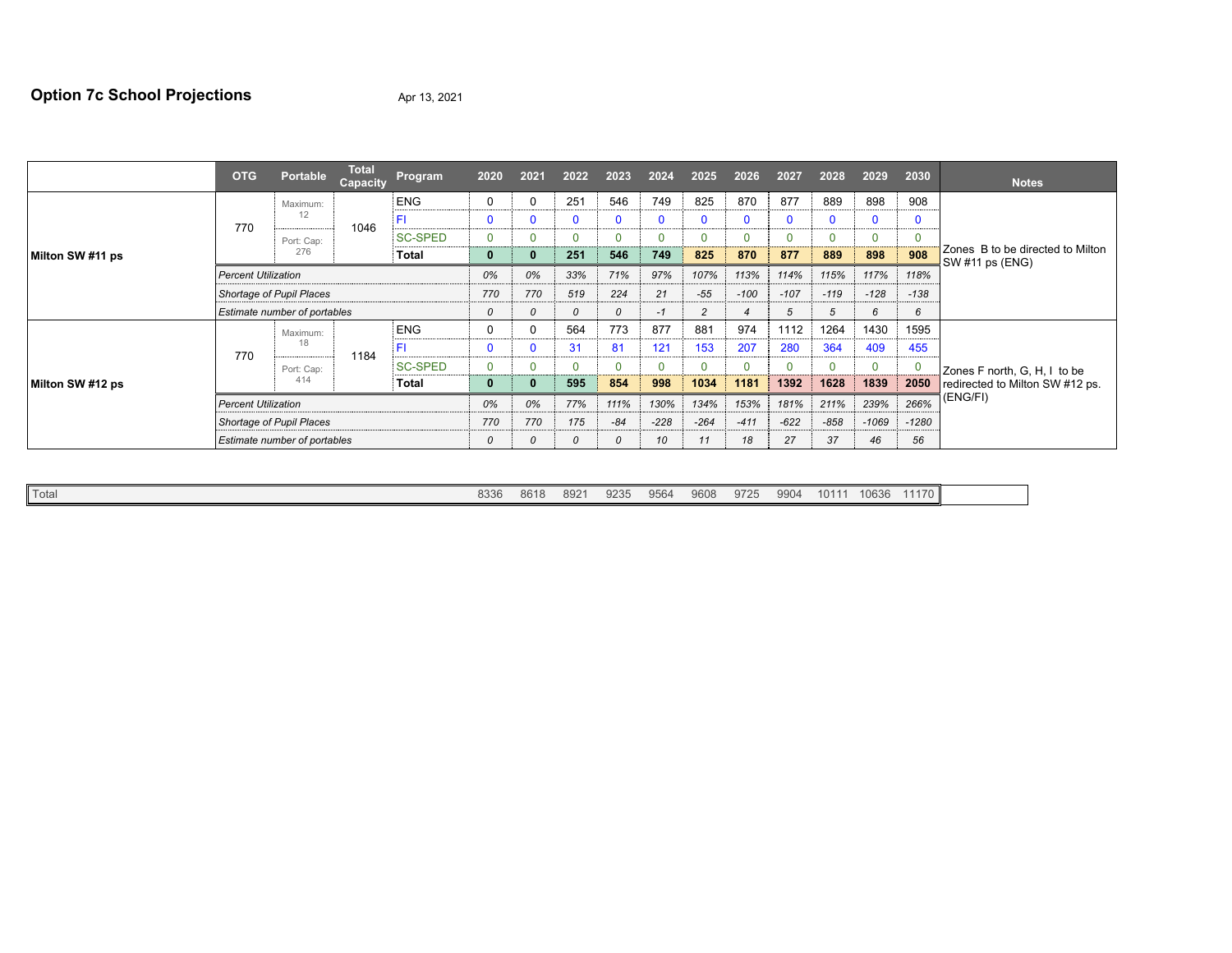# **Option 7c School Projections** Apr 13, 2021

|                  | <b>OTG</b>                   | <b>Portable</b> | <b>Total</b><br>Capacity | Program        | 2020     | 2021     | 2022          | 2023     | 2024     | 2025           | 2026        | 2027           | 2028   | 2029         | 2030    | <b>Notes</b>                                        |  |
|------------------|------------------------------|-----------------|--------------------------|----------------|----------|----------|---------------|----------|----------|----------------|-------------|----------------|--------|--------------|---------|-----------------------------------------------------|--|
|                  |                              | Maximum:        |                          | <b>ENG</b>     | 0        |          | 251           | 546      | 749      | 825            | 870         | 877            | 889    | 898          | 908     |                                                     |  |
|                  | 770                          | 12              | 1046                     | FI             | $\Omega$ |          | $\Omega$      | C        | $\Omega$ | 0              | $\mathbf 0$ | $\mathbf 0$    | 0      | $\mathbf{0}$ | 0       |                                                     |  |
|                  |                              | Port: Cap:      |                          | <b>SC-SPED</b> | 0        |          |               | $\Omega$ |          | $\Omega$       |             | $\Omega$       | 0      | $\mathbf 0$  |         |                                                     |  |
| Milton SW #11 ps |                              | 276             |                          | Total          | 0        |          | 251           | 546      | 749      | 825            | 870         | 877            | 889    | 898          | 908     | Zones B to be directed to Milton<br>SW #11 ps (ENG) |  |
|                  | <b>Percent Utilization</b>   |                 |                          |                | 0%       | 0%       | 33%           | 71%      | 97%      | 107%           | 113%        | 114%           | 115%   | 117%         | 118%    |                                                     |  |
|                  | Shortage of Pupil Places     |                 |                          |                | 770      | 770      | 519           | 224      | 21       | $-55$          | $-100$      | $-107$         | $-119$ | $-128$       | $-138$  |                                                     |  |
|                  | Estimate number of portables |                 |                          |                | 0        | $\Omega$ | 0             | 0        | -1       | $\overline{c}$ | 4           | $\overline{5}$ | 5      | 6            | 6       |                                                     |  |
|                  | 18<br>770                    | Maximum:        | 1184                     | <b>ENG</b>     | $\Omega$ |          | 564           | 773      | 877      | 881            | 974         | 1112           | 1264   | 1430         | 1595    |                                                     |  |
|                  |                              |                 |                          | FI             | $\Omega$ |          | 31            | 81       | 121      | 153            | 207         | 280            | 364    | 409          | 455     |                                                     |  |
| Milton SW #12 ps |                              | Port: Cap:      |                          | <b>SC-SPED</b> | 0        |          | $\Omega$      | $\Omega$ | O        | $\Omega$       |             | $\Omega$       | 0      | $\mathbf 0$  |         | Zones F north, G, H, I to be                        |  |
|                  |                              | 414             |                          | Total          | 0        |          | 595           | 854      | 998      | 1034           | 1181        | 1392           | 1628   | 1839         | 2050    | redirected to Milton SW #12 ps.                     |  |
|                  | <b>Percent Utilization</b>   |                 |                          |                | 0%       | 0%       | 77%           | 111%     | 130%     | 134%           | 153%        | 181%           | 211%   | 239%         | 266%    | (ENG/FI)                                            |  |
|                  | Shortage of Pupil Places     |                 |                          |                | 770      | 770      | 175           | $-84$    | $-228$   | $-264$         | $-411$      | $-622$         | $-858$ | $-1069$      | $-1280$ |                                                     |  |
|                  | Estimate number of portables |                 |                          |                |          | 0        | $\mathcal{O}$ | 0        | 10       | 11             | 18          | 27             | 37     | 46           | 56      |                                                     |  |

|--|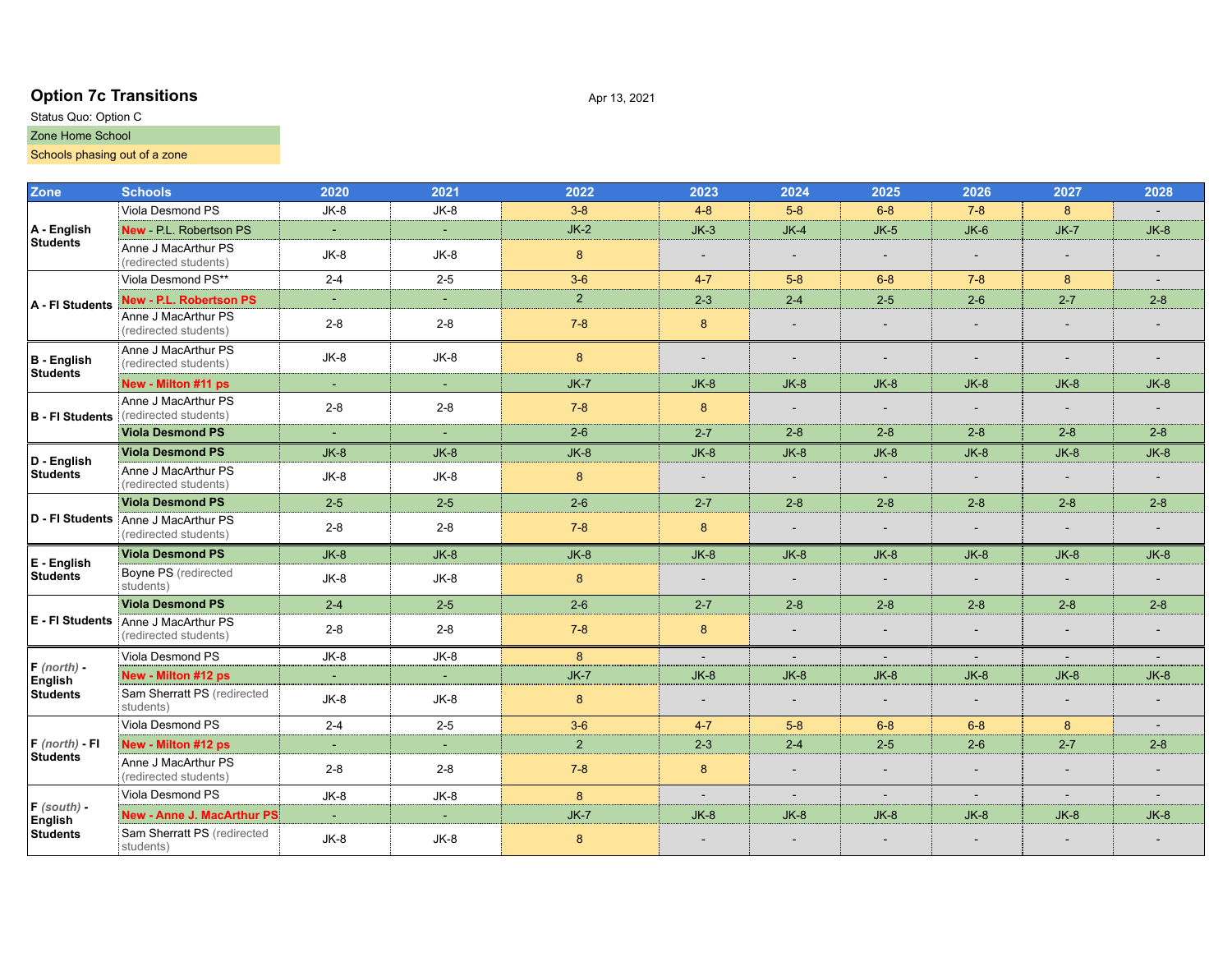# **Option 7c Transitions** Apr 13, 2021

### Status Quo: Option C Zone Home School

# Schools phasing out of a zone

| <b>Zone</b>                    | <b>Schools</b>                                               | 2020    | 2021    | 2022           | 2023                     | 2024                     | 2025                     | 2026                     | 2027                     | 2028           |
|--------------------------------|--------------------------------------------------------------|---------|---------|----------------|--------------------------|--------------------------|--------------------------|--------------------------|--------------------------|----------------|
|                                | Viola Desmond PS                                             | JK-8    | $JK-8$  | $3 - 8$        | $4 - 8$                  | $5-8$                    | $6 - 8$                  | $7 - 8$                  | 8                        |                |
| $\overline{A}$ - English       | New - P.L. Robertson PS                                      |         | $\sim$  | $JK-2$         | $JK-3$                   | $JK-4$                   | $JK-5$                   | $JK-6$                   | $JK-7$                   | $JK-8$         |
| <b>Students</b>                | Anne J MacArthur PS<br>(redirected students)                 | $JK-8$  | $JK-8$  | 8              |                          |                          |                          | $\overline{\phantom{a}}$ | $\overline{\phantom{a}}$ |                |
|                                | Viola Desmond PS**                                           | $2 - 4$ | $2 - 5$ | $3-6$          | $4 - 7$                  | $5-8$                    | $6 - 8$                  | $7 - 8$                  | 8                        | $\blacksquare$ |
| A - FI Students                | New - P.L. Robertson PS                                      | ÷.      | ÷.      | 2 <sup>1</sup> | $2 - 3$                  | $2 - 4$                  | $2 - 5$                  | $2 - 6$                  | $2 - 7$                  | $2 - 8$        |
|                                | Anne J MacArthur PS<br>(redirected students)                 | $2 - 8$ | $2 - 8$ | $7 - 8$        | 8                        |                          |                          | $\overline{\phantom{a}}$ | $\overline{\phantom{a}}$ |                |
| B - English<br><b>Students</b> | Anne J MacArthur PS<br>(redirected students)                 | $JK-8$  | $JK-8$  | $8\phantom{1}$ | $\overline{\phantom{a}}$ |                          |                          |                          |                          |                |
|                                | New - Milton #11 ps                                          | $\sim$  | $\sim$  | $JK-7$         | $JK-8$                   | $JK-8$                   | $JK-8$                   | $JK-8$                   | $JK-8$                   | $JK-8$         |
| <b>B</b> - FI Students         | Anne J MacArthur PS<br>(redirected students)                 | $2 - 8$ | $2 - 8$ | $7 - 8$        | 8                        |                          |                          | $\overline{\phantom{a}}$ |                          |                |
|                                | <b>Viola Desmond PS</b>                                      | $\sim$  | $\sim$  | $2-6$          | $2 - 7$                  | $2 - 8$                  | $2 - 8$                  | $2 - 8$                  | $2 - 8$                  | $2 - 8$        |
| D - English                    | Viola Desmond PS                                             | $JK-8$  | $JK-8$  | $JK-8$         | $JK-8$                   | $JK-8$                   | $JK-8$                   | $JK-8$                   | $JK-8$                   | $JK-8$         |
| <b>Students</b>                | Anne J MacArthur PS<br>(redirected students)                 | $JK-8$  | $JK-8$  | $\bf 8$        | $\overline{\phantom{a}}$ | $\overline{\phantom{a}}$ | $\overline{\phantom{a}}$ | $\blacksquare$           | $\overline{\phantom{a}}$ | $\blacksquare$ |
|                                | <b>Viola Desmond PS</b>                                      | $2 - 5$ | $2 - 5$ | $2 - 6$        | $2 - 7$                  | $2 - 8$                  | $2 - 8$                  | $2 - 8$                  | $2 - 8$                  | $2 - 8$        |
|                                | D - FI Students Anne J MacArthur PS<br>(redirected students) | $2 - 8$ | $2 - 8$ | $7 - 8$        | 8                        |                          | $\overline{\phantom{0}}$ | $\overline{\phantom{a}}$ | $\overline{\phantom{a}}$ |                |
| E - English                    | Viola Desmond PS                                             | $JK-8$  | $JK-8$  | $JK-8$         | $JK-8$                   | $JK-8$                   | $JK-8$                   | $JK-8$                   | $JK-8$                   | $JK-8$         |
| Students                       | Boyne PS (redirected<br>students)                            | $JK-8$  | JK-8    | $\bf 8$        | $\blacksquare$           |                          |                          | $\overline{\phantom{a}}$ | $\blacksquare$           |                |
|                                | Viola Desmond PS                                             | $2 - 4$ | $2 - 5$ | $2 - 6$        | $2 - 7$                  | $2 - 8$                  | $2 - 8$                  | $2 - 8$                  | $2 - 8$                  | $2 - 8$        |
|                                | E - FI Students Anne J MacArthur PS<br>(redirected students) | $2 - 8$ | $2 - 8$ | $7 - 8$        | 8                        |                          |                          | $\overline{\phantom{a}}$ | $\overline{\phantom{a}}$ |                |
|                                | Viola Desmond PS                                             | $JK-8$  | $JK-8$  | 8              | $\sim$                   | $\sim$                   | $\sim$                   | $\sim$                   | $\sim$                   |                |
| $F$ (north) -<br>English       | New - Milton #12 ps                                          | $\sim$  | $\sim$  | $JK-7$         | $JK-8$                   | $JK-8$                   | $JK-8$                   | $JK-8$                   | $JK-8$                   | $JK-8$         |
| <b>Students</b>                | Sam Sherratt PS (redirected<br>students)                     | $JK-8$  | JK-8    | 8              | $\overline{\phantom{a}}$ |                          |                          | $\overline{\phantom{a}}$ | $\overline{\phantom{a}}$ |                |
|                                | Viola Desmond PS                                             | $2 - 4$ | $2 - 5$ | $3-6$          | $4 - 7$                  | $5 - 8$                  | $6 - 8$                  | $6 - 8$                  | 8                        |                |
| $F$ (north) - FI               | New - Milton #12 ps                                          |         |         | $\overline{2}$ | $2 - 3$                  | $2 - 4$                  | $2 - 5$                  | $2 - 6$                  | $2 - 7$                  | $2 - 8$        |
| <b>Students</b>                | Anne J MacArthur PS<br>(redirected students)                 | $2 - 8$ | $2 - 8$ | $7 - 8$        | 8                        |                          | $\overline{\phantom{a}}$ | $\overline{\phantom{a}}$ | $\overline{\phantom{a}}$ |                |
|                                | Viola Desmond PS                                             | $JK-8$  | $JK-8$  | 8 <sup>°</sup> | $\overline{\phantom{a}}$ | $\sim$                   | $\overline{\phantom{a}}$ | $\blacksquare$           | $\overline{\phantom{a}}$ |                |
| $F$ (south) -<br>English       | New - Anne J. MacArthur PS                                   | $\sim$  |         | $JK-7$         | $JK-8$                   | $JK-8$                   | $JK-8$                   | $JK-8$                   | $JK-8$                   | $JK-8$         |
| <b>Students</b>                | Sam Sherratt PS (redirected<br>students)                     | $JK-8$  | $JK-8$  | 8              |                          |                          |                          |                          |                          |                |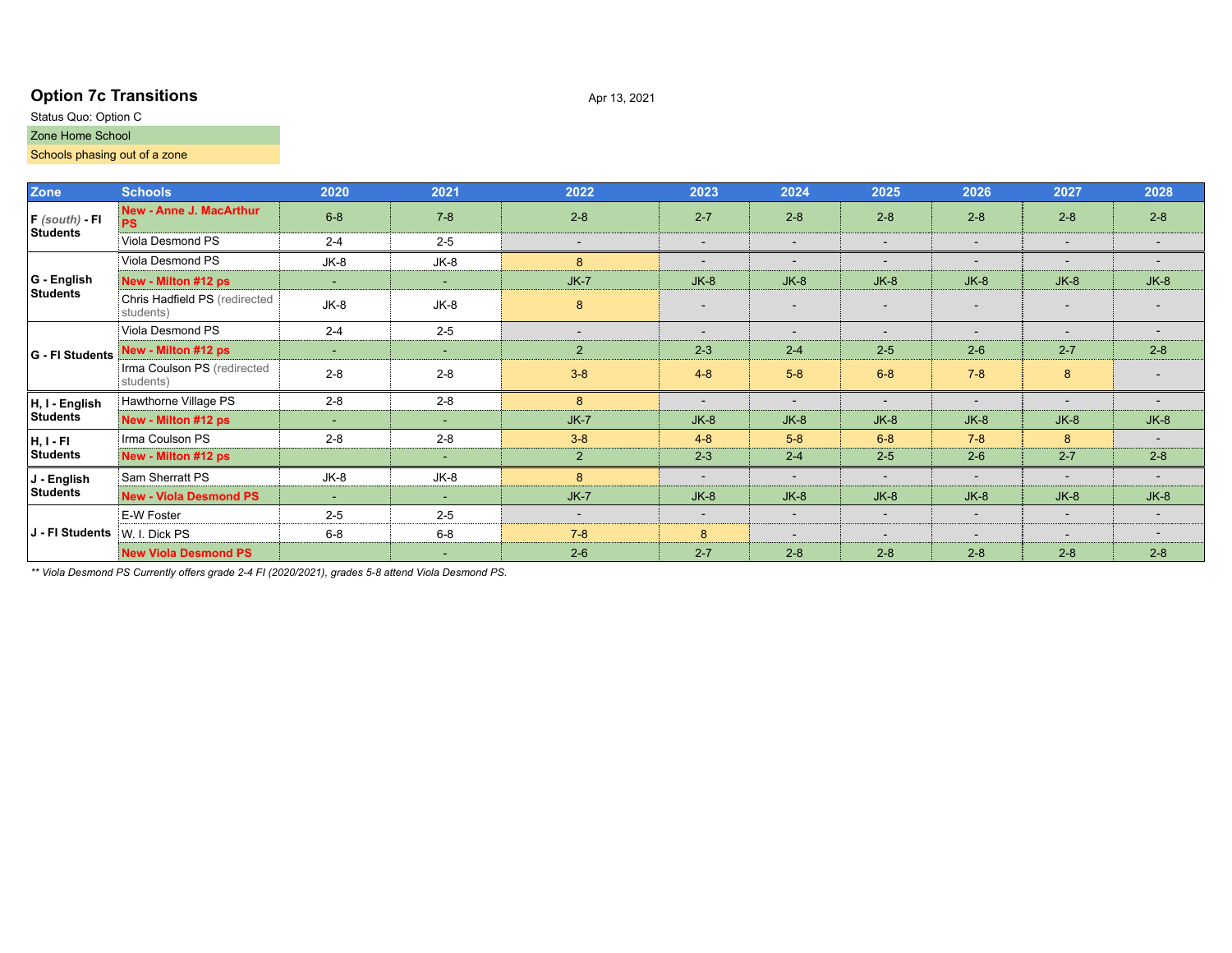# **Option 7c Transitions** Apr 13, 2021

### Status Quo: Option C Zone Home School

## Schools phasing out of a zone

| Zone             | <b>Schools</b>                              | 2020    | 2021    | 2022                     | 2023                     | 2024    | 2025                     | 2026                     | 2027                                                                                                                                 | 2028                     |
|------------------|---------------------------------------------|---------|---------|--------------------------|--------------------------|---------|--------------------------|--------------------------|--------------------------------------------------------------------------------------------------------------------------------------|--------------------------|
| $F$ (south) - FI | <b>New - Anne J. MacArthur</b><br><b>PS</b> | $6 - 8$ | $7 - 8$ | $2 - 8$                  | $2 - 7$                  | $2 - 8$ | $2 - 8$                  | $2 - 8$                  | $2 - 8$                                                                                                                              | $2 - 8$                  |
| <b>Students</b>  | Viola Desmond PS                            | $2 - 4$ | $2 - 5$ | $\overline{\phantom{a}}$ | $\overline{\phantom{a}}$ | $\sim$  | $\overline{\phantom{a}}$ | $\overline{\phantom{a}}$ | $\sim$                                                                                                                               | $\overline{\phantom{a}}$ |
|                  | Viola Desmond PS                            | JK-8    | $JK-8$  | 8                        |                          |         |                          | $\overline{\phantom{a}}$ | $\overline{\phantom{a}}$                                                                                                             |                          |
| G - English      | New - Milton #12 ps                         | ٠       | $\sim$  | $JK-7$                   | $JK-8$                   | $JK-8$  | $JK-8$                   | $JK-8$                   | $JK-8$                                                                                                                               | $JK-8$                   |
| <b>Students</b>  | Chris Hadfield PS (redirected<br>students)  | JK-8    | JK-8    | 8                        | $\overline{\phantom{a}}$ |         |                          | $\overline{\phantom{a}}$ |                                                                                                                                      |                          |
|                  | Viola Desmond PS                            | $2 - 4$ | $2 - 5$ | $\overline{a}$           | $\overline{\phantom{a}}$ |         | $\overline{a}$           | $\overline{\phantom{a}}$ | $\overline{\phantom{a}}$                                                                                                             | $\overline{\phantom{0}}$ |
| G - FI Students  | New - Milton #12 ps                         | ٠       | $\sim$  | 2                        | $2 - 3$                  | $2 - 4$ | $2 - 5$                  | $2 - 6$                  | $2 - 7$                                                                                                                              | $2 - 8$                  |
|                  | Irma Coulson PS (redirected<br>students)    | $2 - 8$ | $2 - 8$ | $3 - 8$                  | $4 - 8$                  | $5-8$   | $6 - 8$                  | $7 - 8$                  | 8<br>$\overline{\phantom{a}}$<br>$JK-8$<br>8<br>$2 - 7$<br>$JK-8$<br>$\overline{\phantom{a}}$<br>$\overline{\phantom{0}}$<br>$2 - 8$ |                          |
| H, I - English   | Hawthorne Village PS                        | $2 - 8$ | $2 - 8$ | 8                        | $\overline{\phantom{a}}$ |         | $\overline{a}$           | $\overline{\phantom{a}}$ |                                                                                                                                      |                          |
| <b>Students</b>  | New - Milton #12 ps                         | ٠       | ٠       | $JK-7$                   | $JK-8$                   | $JK-8$  | $JK-8$                   | $JK-8$                   |                                                                                                                                      | $JK-8$                   |
| $H, I - FI$      | Irma Coulson PS                             | $2 - 8$ | $2 - 8$ | $3 - 8$                  | $4 - 8$                  | $5-8$   | $6 - 8$                  | $7 - 8$                  |                                                                                                                                      | $\overline{\phantom{a}}$ |
| <b>Students</b>  | New - Milton #12 ps                         |         | ٠       | $\overline{2}$           | $2 - 3$                  | $2 - 4$ | $2 - 5$                  | $2 - 6$                  |                                                                                                                                      | $2 - 8$                  |
| J - English      | Sam Sherratt PS                             | $JK-8$  | $JK-8$  | 8                        |                          |         |                          | $\overline{\phantom{a}}$ |                                                                                                                                      |                          |
| <b>Students</b>  | <b>New - Viola Desmond PS</b>               | ٠       | ٠       | $JK-7$                   | $JK-8$                   | $JK-8$  | $JK-8$                   | $JK-8$                   |                                                                                                                                      | $JK-8$                   |
|                  | E-W Foster                                  | $2 - 5$ | $2 - 5$ | $\overline{\phantom{a}}$ | $\overline{\phantom{a}}$ |         | $\overline{\phantom{a}}$ | $\overline{\phantom{a}}$ |                                                                                                                                      |                          |
| J - FI Students  | W. I. Dick PS                               | $6 - 8$ | $6 - 8$ | $7 - 8$                  | 8                        |         | $\overline{\phantom{0}}$ | $\overline{\phantom{a}}$ |                                                                                                                                      |                          |
|                  | <b>New Viola Desmond PS</b>                 |         | ٠       | $2 - 6$                  | $2 - 7$                  | $2 - 8$ | $2 - 8$                  | $2 - 8$                  |                                                                                                                                      | $2 - 8$                  |

*\*\* Viola Desmond PS Currently offers grade 2-4 FI (2020/2021), grades 5-8 attend Viola Desmond PS.*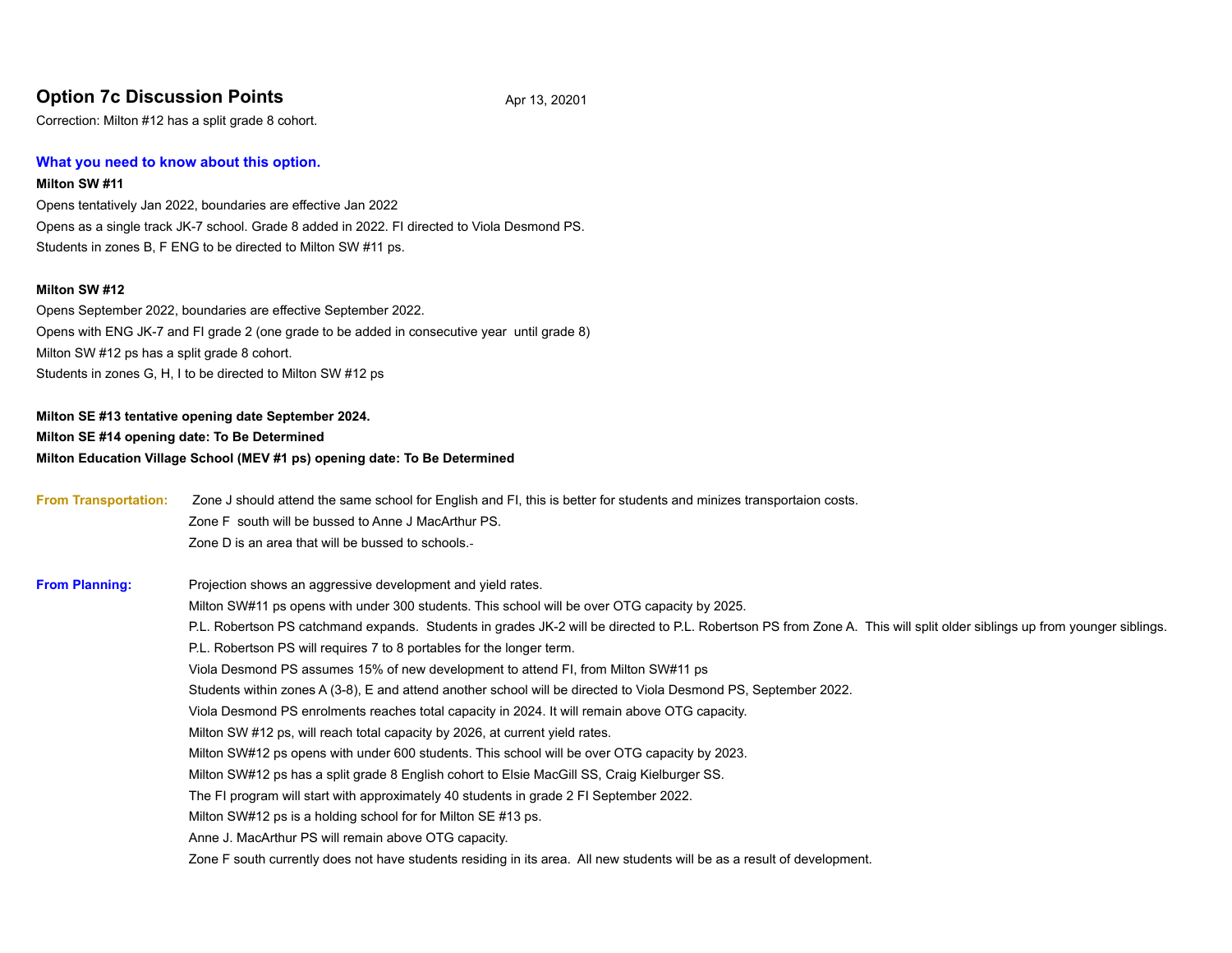# **Option 7c Discussion Points** Apr 13, 20201

Correction: Milton #12 has a split grade 8 cohort.

#### **What you need to know about this option.**

#### **Milton SW #11**

Opens tentatively Jan 2022, boundaries are effective Jan 2022 Opens as a single track JK-7 school. Grade 8 added in 2022. FI directed to Viola Desmond PS. Students in zones B, F ENG to be directed to Milton SW #11 ps.

#### **Milton SW #12**

Opens September 2022, boundaries are effective September 2022. Opens with ENG JK-7 and FI grade 2 (one grade to be added in consecutive year until grade 8) Milton SW #12 ps has a split grade 8 cohort. Students in zones G, H, I to be directed to Milton SW #12 ps

**Milton SE #13 tentative opening date September 2024. Milton SE #14 opening date: To Be Determined Milton Education Village School (MEV #1 ps) opening date: To Be Determined**

**From Transportation:** Zone J should attend the same school for English and FI, this is better for students and minizes transportaion costs. Zone F south will be bussed to Anne J MacArthur PS. Zone D is an area that will be bussed to schools. **From Planning:** Projection shows an aggressive development and yield rates. Milton SW#11 ps opens with under 300 students. This school will be over OTG capacity by 2025. P.L. Robertson PS catchmand expands. Students in grades JK-2 will be directed to P.L. Robertson PS from Zone A. This will split older siblings up from younger siblings. P.L. Robertson PS will requires 7 to 8 portables for the longer term. Viola Desmond PS assumes 15% of new development to attend FI, from Milton SW#11 ps Students within zones A (3-8), E and attend another school will be directed to Viola Desmond PS, September 2022. Viola Desmond PS enrolments reaches total capacity in 2024. It will remain above OTG capacity. Milton SW #12 ps, will reach total capacity by 2026, at current yield rates. Milton SW#12 ps opens with under 600 students. This school will be over OTG capacity by 2023. Milton SW#12 ps has a split grade 8 English cohort to Elsie MacGill SS, Craig Kielburger SS. The FI program will start with approximately 40 students in grade 2 FI September 2022. Milton SW#12 ps is a holding school for for Milton SE #13 ps. Anne J. MacArthur PS will remain above OTG capacity. Zone F south currently does not have students residing in its area. All new students will be as a result of development.